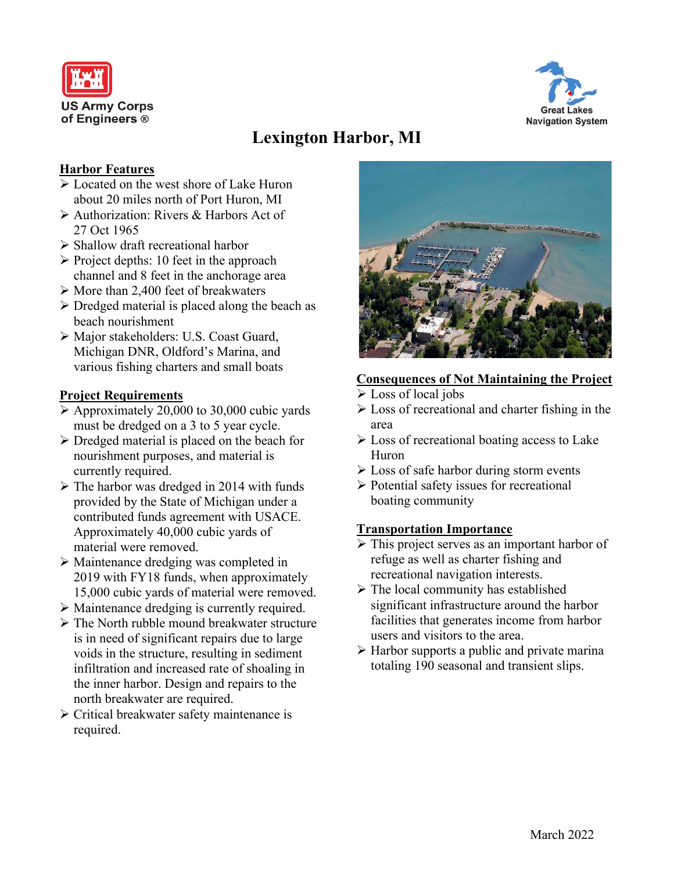



# **Lexington Harbor, MI**

# **Harbor Features**

- Located on the west shore of Lake Huron about 20 miles north of Port Huron, MI
- Authorization: Rivers & Harbors Act of 27 Oct 1965
- $\triangleright$  Shallow draft recreational harbor
- $\triangleright$  Project depths: 10 feet in the approach channel and 8 feet in the anchorage area
- $\triangleright$  More than 2,400 feet of breakwaters
- $\triangleright$  Dredged material is placed along the beach as beach nourishment
- Major stakeholders: U.S. Coast Guard, Michigan DNR, Oldford's Marina, and various fishing charters and small boats

### **Project Requirements**

- $\triangleright$  Approximately 20,000 to 30,000 cubic yards must be dredged on a 3 to 5 year cycle.
- $\triangleright$  Dredged material is placed on the beach for nourishment purposes, and material is currently required.
- $\triangleright$  The harbor was dredged in 2014 with funds provided by the State of Michigan under a contributed funds agreement with USACE. Approximately 40,000 cubic yards of material were removed.
- Maintenance dredging was completed in 2019 with FY18 funds, when approximately 15,000 cubic yards of material were removed.
- Maintenance dredging is currently required.
- $\triangleright$  The North rubble mound breakwater structure is in need of significant repairs due to large voids in the structure, resulting in sediment infiltration and increased rate of shoaling in the inner harbor. Design and repairs to the north breakwater are required.
- $\triangleright$  Critical breakwater safety maintenance is required.



#### **Consequences of Not Maintaining the Project**

- Loss of local jobs
- $\triangleright$  Loss of recreational and charter fishing in the area
- $\triangleright$  Loss of recreational boating access to Lake Huron
- Loss of safe harbor during storm events
- $\triangleright$  Potential safety issues for recreational boating community

#### **Transportation Importance**

- $\triangleright$  This project serves as an important harbor of refuge as well as charter fishing and recreational navigation interests.
- $\triangleright$  The local community has established significant infrastructure around the harbor facilities that generates income from harbor users and visitors to the area.
- $\triangleright$  Harbor supports a public and private marina totaling 190 seasonal and transient slips.